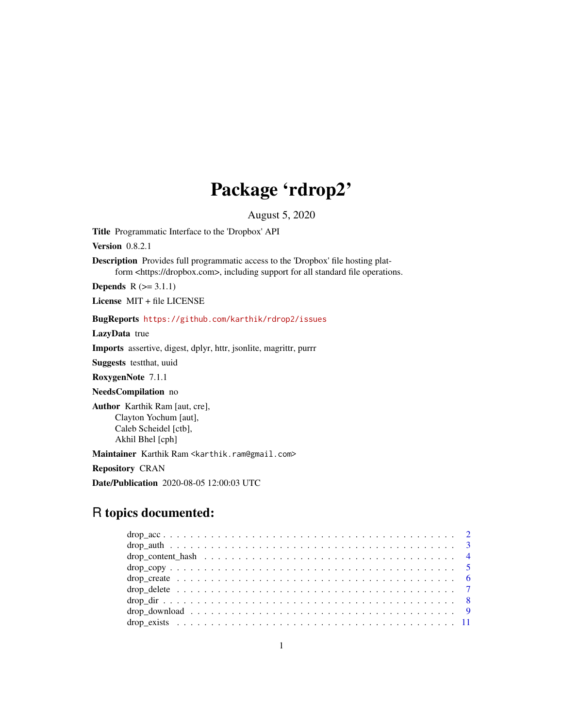## Package 'rdrop2'

August 5, 2020

Title Programmatic Interface to the 'Dropbox' API

Version 0.8.2.1

Description Provides full programmatic access to the 'Dropbox' file hosting platform <https://dropbox.com>, including support for all standard file operations.

**Depends**  $R$  ( $> = 3.1.1$ )

License MIT + file LICENSE

BugReports <https://github.com/karthik/rdrop2/issues>

LazyData true

Imports assertive, digest, dplyr, httr, jsonlite, magrittr, purrr

Suggests testthat, uuid

RoxygenNote 7.1.1

NeedsCompilation no

Author Karthik Ram [aut, cre], Clayton Yochum [aut], Caleb Scheidel [ctb], Akhil Bhel [cph]

Maintainer Karthik Ram <karthik.ram@gmail.com>

Repository CRAN

Date/Publication 2020-08-05 12:00:03 UTC

### R topics documented: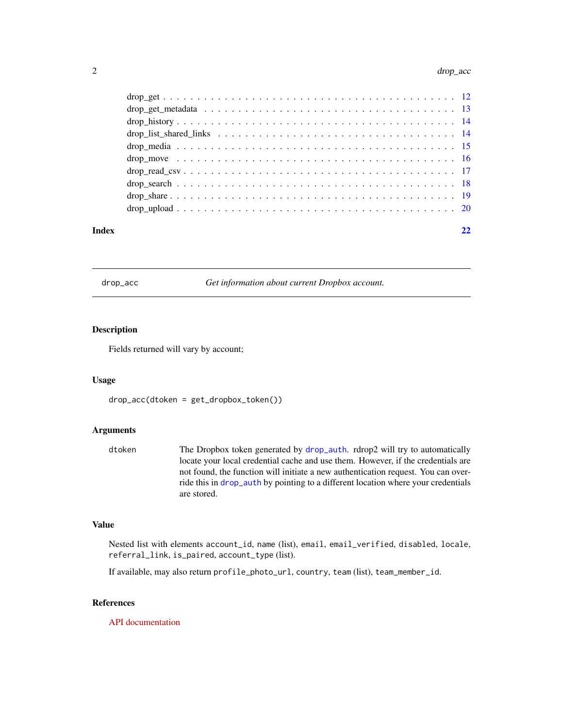<span id="page-1-0"></span>

#### **Index** [22](#page-21-0)

drop\_acc *Get information about current Dropbox account.*

#### Description

Fields returned will vary by account;

#### Usage

drop\_acc(dtoken = get\_dropbox\_token())

#### Arguments

| dtoken | The Dropbox token generated by drop_auth. rdrop2 will try to automatically        |
|--------|-----------------------------------------------------------------------------------|
|        | locate your local credential cache and use them. However, if the credentials are  |
|        | not found, the function will initiate a new authentication request. You can over- |
|        | ride this in drop_auth by pointing to a different location where your credentials |
|        | are stored.                                                                       |

#### Value

Nested list with elements account\_id, name (list), email, email\_verified, disabled, locale, referral\_link, is\_paired, account\_type (list).

If available, may also return profile\_photo\_url, country, team (list), team\_member\_id.

#### References

[API documentation](https://www.dropbox.com/developers/documentation/http/documentation#users-get_current_account)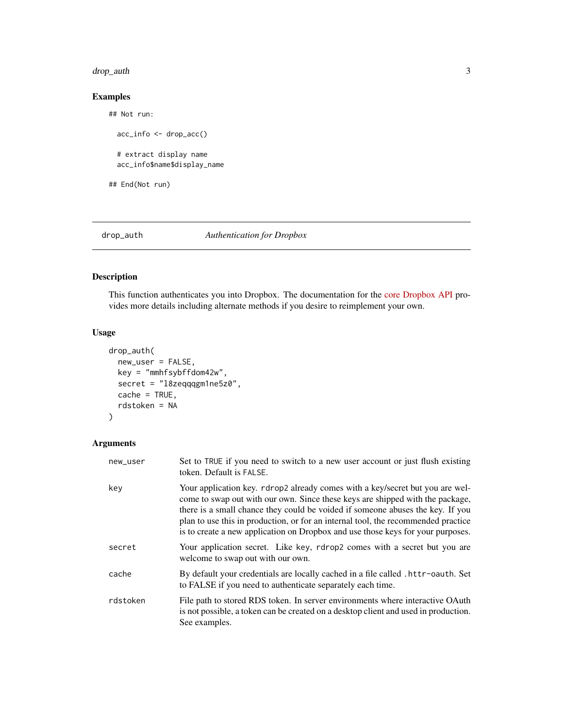#### <span id="page-2-0"></span>drop\_auth 3

#### Examples

```
## Not run:
  acc_info <- drop_acc()
  # extract display name
  acc_info$name$display_name
```
## End(Not run)

<span id="page-2-1"></span>

#### drop\_auth *Authentication for Dropbox*

#### Description

This function authenticates you into Dropbox. The documentation for the [core Dropbox API](https://www.dropbox.com/developers/documentation?_tk=pilot_lp&_ad=topbar1&_camp=docs) provides more details including alternate methods if you desire to reimplement your own.

#### Usage

```
drop_auth(
 new_user = FALSE,
 key = "mmhfsybffdom42w",
  secret = "l8zeqqqgm1ne5z0",
  cache = TRUE,
  rdstoken = NA
)
```

| new_user | Set to TRUE if you need to switch to a new user account or just flush existing<br>token. Default is FALSE.                                                                                                                                                                                                                                                                                                               |
|----------|--------------------------------------------------------------------------------------------------------------------------------------------------------------------------------------------------------------------------------------------------------------------------------------------------------------------------------------------------------------------------------------------------------------------------|
| key      | Your application key. rdrop2 already comes with a key/secret but you are wel-<br>come to swap out with our own. Since these keys are shipped with the package,<br>there is a small chance they could be voided if someone abuses the key. If you<br>plan to use this in production, or for an internal tool, the recommended practice<br>is to create a new application on Dropbox and use those keys for your purposes. |
| secret   | Your application secret. Like key, rdrop2 comes with a secret but you are<br>welcome to swap out with our own.                                                                                                                                                                                                                                                                                                           |
| cache    | By default your credentials are locally cached in a file called . httr-oauth. Set<br>to FALSE if you need to authenticate separately each time.                                                                                                                                                                                                                                                                          |
| rdstoken | File path to stored RDS token. In server environments where interactive OAuth<br>is not possible, a token can be created on a desktop client and used in production.<br>See examples.                                                                                                                                                                                                                                    |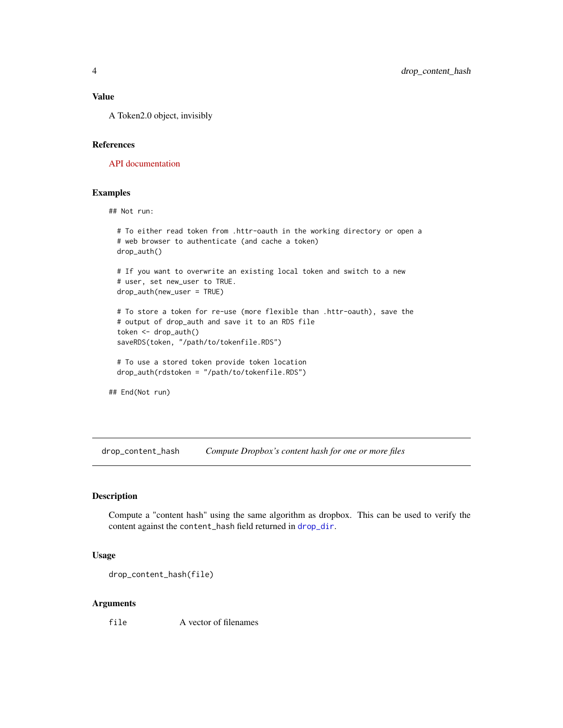#### <span id="page-3-0"></span>Value

A Token2.0 object, invisibly

#### References

[API documentation](https://www.dropbox.com/developers/documentation/http/documentation#authorization)

#### Examples

## Not run:

```
# To either read token from .httr-oauth in the working directory or open a
# web browser to authenticate (and cache a token)
drop_auth()
# If you want to overwrite an existing local token and switch to a new
# user, set new_user to TRUE.
drop_auth(new_user = TRUE)
# To store a token for re-use (more flexible than .httr-oauth), save the
# output of drop_auth and save it to an RDS file
token <- drop_auth()
saveRDS(token, "/path/to/tokenfile.RDS")
# To use a stored token provide token location
drop_auth(rdstoken = "/path/to/tokenfile.RDS")
```
## End(Not run)

drop\_content\_hash *Compute Dropbox's content hash for one or more files*

#### Description

Compute a "content hash" using the same algorithm as dropbox. This can be used to verify the content against the content\_hash field returned in [drop\\_dir](#page-7-1).

#### Usage

```
drop_content_hash(file)
```
#### Arguments

file A vector of filenames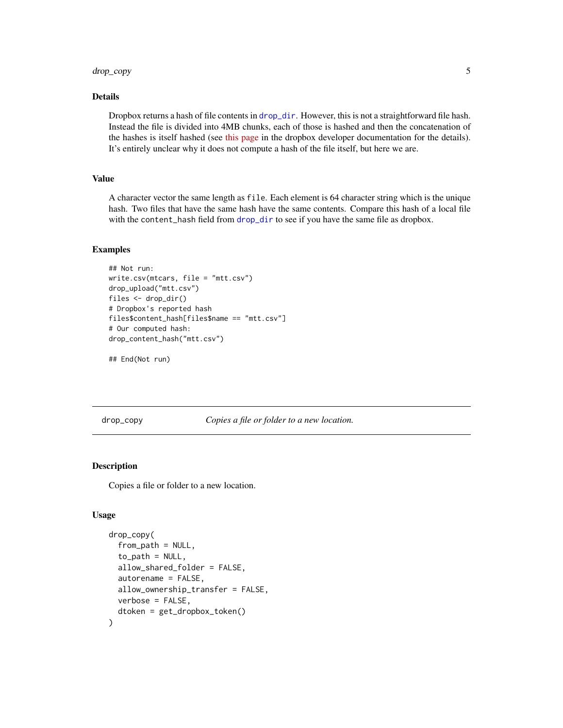#### <span id="page-4-0"></span>drop\_copy 5

#### Details

Dropbox returns a hash of file contents in [drop\\_dir](#page-7-1). However, this is not a straightforward file hash. Instead the file is divided into 4MB chunks, each of those is hashed and then the concatenation of the hashes is itself hashed (see [this page](https://www.dropbox.com/developers/reference/content-hash) in the dropbox developer documentation for the details). It's entirely unclear why it does not compute a hash of the file itself, but here we are.

#### Value

A character vector the same length as file. Each element is 64 character string which is the unique hash. Two files that have the same hash have the same contents. Compare this hash of a local file with the content\_hash field from [drop\\_dir](#page-7-1) to see if you have the same file as dropbox.

#### Examples

```
## Not run:
write.csv(mtcars, file = "mtt.csv")
drop_upload("mtt.csv")
files <- drop_dir()
# Dropbox's reported hash
files$content_hash[files$name == "mtt.csv"]
# Our computed hash:
drop_content_hash("mtt.csv")
```

```
## End(Not run)
```
drop\_copy *Copies a file or folder to a new location.*

#### Description

Copies a file or folder to a new location.

#### Usage

```
drop_copy(
  from_path = NULL,
  to_path = NULL,
  allow_shared_folder = FALSE,
  autorename = FALSE,
  allow_ownership_transfer = FALSE,
  verbose = FALSE,
  dtoken = get_dropbox_token()
)
```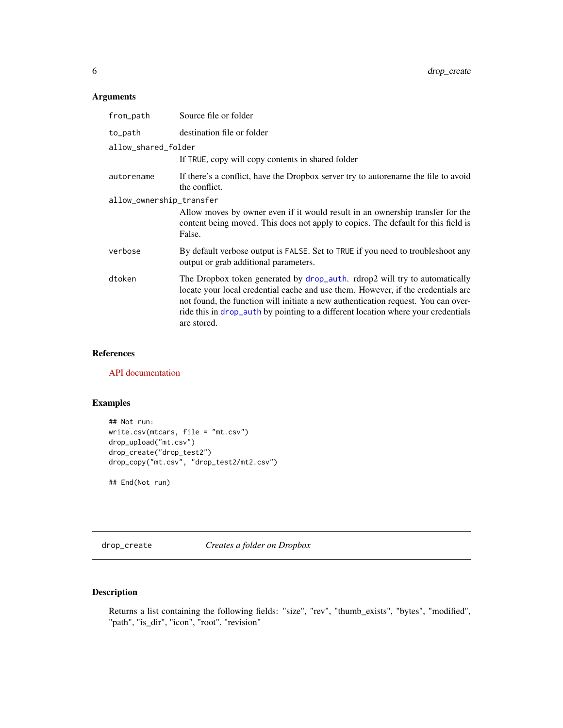#### <span id="page-5-0"></span>Arguments

| from_path                | Source file or folder                                                                                                                                                                                                                                                                                                                                   |
|--------------------------|---------------------------------------------------------------------------------------------------------------------------------------------------------------------------------------------------------------------------------------------------------------------------------------------------------------------------------------------------------|
| to_path                  | destination file or folder                                                                                                                                                                                                                                                                                                                              |
| allow_shared_folder      |                                                                                                                                                                                                                                                                                                                                                         |
|                          | If TRUE, copy will copy contents in shared folder                                                                                                                                                                                                                                                                                                       |
| autorename               | If there's a conflict, have the Dropbox server try to autorename the file to avoid<br>the conflict.                                                                                                                                                                                                                                                     |
| allow_ownership_transfer |                                                                                                                                                                                                                                                                                                                                                         |
|                          | Allow moves by owner even if it would result in an ownership transfer for the<br>content being moved. This does not apply to copies. The default for this field is<br>False.                                                                                                                                                                            |
| verbose                  | By default verbose output is FALSE. Set to TRUE if you need to troubleshoot any<br>output or grab additional parameters.                                                                                                                                                                                                                                |
| dtoken                   | The Dropbox token generated by drop_auth. rdrop2 will try to automatically<br>locate your local credential cache and use them. However, if the credentials are<br>not found, the function will initiate a new authentication request. You can over-<br>ride this in drop_auth by pointing to a different location where your credentials<br>are stored. |

#### References

[API documentation](https://www.dropbox.com/developers/documentation/http/documentation#files-copy_v2)

#### Examples

```
## Not run:
write.csv(mtcars, file = "mt.csv")
drop_upload("mt.csv")
drop_create("drop_test2")
drop_copy("mt.csv", "drop_test2/mt2.csv")
```
## End(Not run)

drop\_create *Creates a folder on Dropbox*

#### Description

Returns a list containing the following fields: "size", "rev", "thumb\_exists", "bytes", "modified", "path", "is\_dir", "icon", "root", "revision"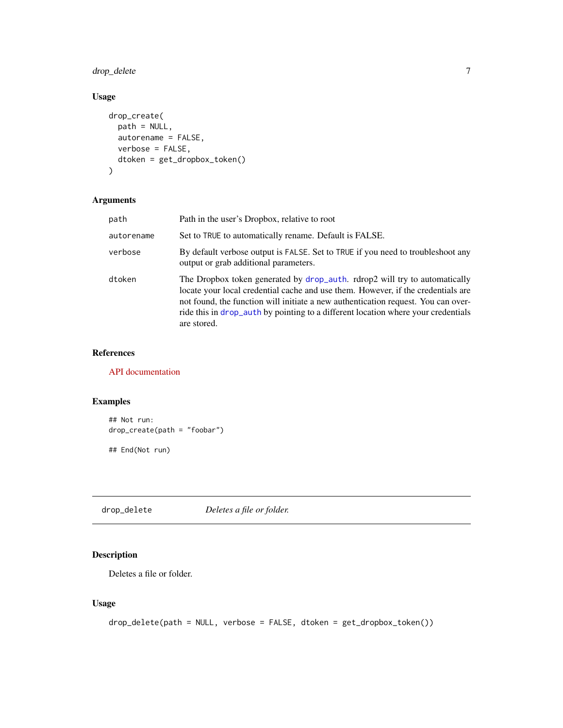#### <span id="page-6-0"></span>drop\_delete 7

#### Usage

```
drop_create(
 path = NULL,
 autorename = FALSE,
 verbose = FALSE,
 dtoken = get_dropbox_token()
)
```
#### Arguments

| path       | Path in the user's Dropbox, relative to root                                                                                                                                                                                                                                                                                                            |
|------------|---------------------------------------------------------------------------------------------------------------------------------------------------------------------------------------------------------------------------------------------------------------------------------------------------------------------------------------------------------|
| autorename | Set to TRUE to automatically rename. Default is FALSE.                                                                                                                                                                                                                                                                                                  |
| verbose    | By default verbose output is FALSE. Set to TRUE if you need to troubleshoot any<br>output or grab additional parameters.                                                                                                                                                                                                                                |
| dtoken     | The Dropbox token generated by drop_auth. rdrop2 will try to automatically<br>locate your local credential cache and use them. However, if the credentials are<br>not found, the function will initiate a new authentication request. You can over-<br>ride this in drop_auth by pointing to a different location where your credentials<br>are stored. |

#### References

[API documentation](https://www.dropbox.com/developers/documentation/http/documentation#files-create_folder_v2)

#### Examples

```
## Not run:
drop_create(path = "foobar")
## End(Not run)
```
drop\_delete *Deletes a file or folder.*

#### Description

Deletes a file or folder.

#### Usage

```
drop_delete(path = NULL, verbose = FALSE, dtoken = get_dropbox_token())
```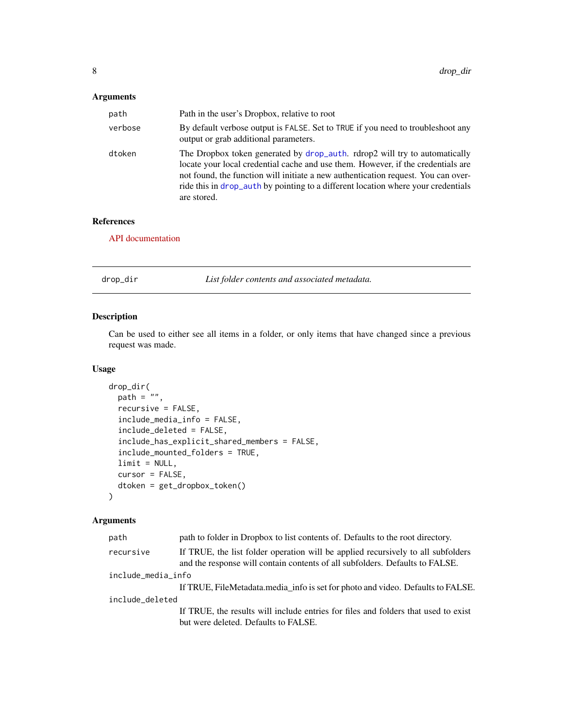#### <span id="page-7-0"></span>Arguments

| path    | Path in the user's Dropbox, relative to root                                                                                                                                                                                                                                                                                                            |
|---------|---------------------------------------------------------------------------------------------------------------------------------------------------------------------------------------------------------------------------------------------------------------------------------------------------------------------------------------------------------|
| verbose | By default verbose output is FALSE. Set to TRUE if you need to troubleshoot any<br>output or grab additional parameters.                                                                                                                                                                                                                                |
| dtoken  | The Dropbox token generated by drop_auth. rdrop2 will try to automatically<br>locate your local credential cache and use them. However, if the credentials are<br>not found, the function will initiate a new authentication request. You can over-<br>ride this in drop_auth by pointing to a different location where your credentials<br>are stored. |

#### References

[API documentation](https://www.dropbox.com/developers/documentation/http/documentation#files-delete_v2)

<span id="page-7-1"></span>

| drop_dir | List folder contents and associated metadata. |
|----------|-----------------------------------------------|
|----------|-----------------------------------------------|

#### Description

Can be used to either see all items in a folder, or only items that have changed since a previous request was made.

#### Usage

```
drop_dir(
  path = \cdot \cdot \cdot,
  recursive = FALSE,
  include_media_info = FALSE,
  include_deleted = FALSE,
  include_has_explicit_shared_members = FALSE,
  include_mounted_folders = TRUE,
  limit = NULL,
  cursor = FALSE,
  dtoken = get_dropbox_token()
\mathcal{L}
```

| path               | path to folder in Dropbox to list contents of. Defaults to the root directory.                                                                                   |  |
|--------------------|------------------------------------------------------------------------------------------------------------------------------------------------------------------|--|
| recursive          | If TRUE, the list folder operation will be applied recursively to all subfolders<br>and the response will contain contents of all subfolders. Defaults to FALSE. |  |
| include_media_info |                                                                                                                                                                  |  |
|                    | If TRUE, FileMetadata.media info is set for photo and video. Defaults to FALSE.                                                                                  |  |
| include_deleted    |                                                                                                                                                                  |  |
|                    | If TRUE, the results will include entries for files and folders that used to exist                                                                               |  |
|                    | but were deleted. Defaults to FALSE.                                                                                                                             |  |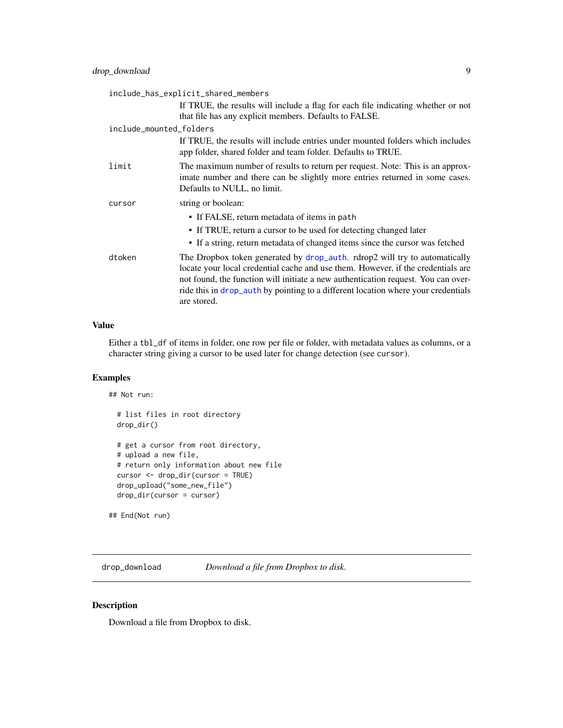<span id="page-8-0"></span>

| include_has_explicit_shared_members |                                                                                                                                                                                                                                                                                                                                                         |  |
|-------------------------------------|---------------------------------------------------------------------------------------------------------------------------------------------------------------------------------------------------------------------------------------------------------------------------------------------------------------------------------------------------------|--|
|                                     | If TRUE, the results will include a flag for each file indicating whether or not<br>that file has any explicit members. Defaults to FALSE.                                                                                                                                                                                                              |  |
| include_mounted_folders             |                                                                                                                                                                                                                                                                                                                                                         |  |
|                                     | If TRUE, the results will include entries under mounted folders which includes<br>app folder, shared folder and team folder. Defaults to TRUE.                                                                                                                                                                                                          |  |
| limit                               | The maximum number of results to return per request. Note: This is an approx-<br>imate number and there can be slightly more entries returned in some cases.<br>Defaults to NULL, no limit.                                                                                                                                                             |  |
| cursor                              | string or boolean:                                                                                                                                                                                                                                                                                                                                      |  |
|                                     | • If FALSE, return metadata of items in path                                                                                                                                                                                                                                                                                                            |  |
|                                     | • If TRUE, return a cursor to be used for detecting changed later                                                                                                                                                                                                                                                                                       |  |
|                                     | • If a string, return metadata of changed items since the cursor was fetched                                                                                                                                                                                                                                                                            |  |
| dtoken                              | The Dropbox token generated by drop_auth. rdrop2 will try to automatically<br>locate your local credential cache and use them. However, if the credentials are<br>not found, the function will initiate a new authentication request. You can over-<br>ride this in drop_auth by pointing to a different location where your credentials<br>are stored. |  |

#### Value

Either a tbl\_df of items in folder, one row per file or folder, with metadata values as columns, or a character string giving a cursor to be used later for change detection (see cursor).

#### Examples

## Not run:

```
# list files in root directory
drop_dir()
# get a cursor from root directory,
# upload a new file,
# return only information about new file
cursor <- drop_dir(cursor = TRUE)
drop_upload("some_new_file")
drop_dir(cursor = cursor)
```

```
## End(Not run)
```
drop\_download *Download a file from Dropbox to disk.*

#### Description

Download a file from Dropbox to disk.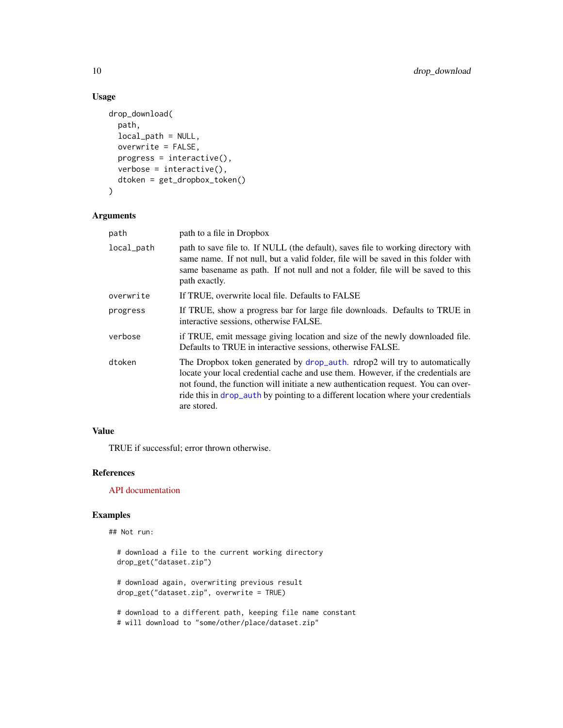#### Usage

```
drop_download(
  path,
  local_path = NULL,
 overwrite = FALSE,
 progress = interactive(),
 verbose = interactive(),
  dtoken = get_dropbox_token()
)
```
#### Arguments

| path       | path to a file in Dropbox                                                                                                                                                                                                                                                                                                                               |
|------------|---------------------------------------------------------------------------------------------------------------------------------------------------------------------------------------------------------------------------------------------------------------------------------------------------------------------------------------------------------|
| local_path | path to save file to. If NULL (the default), saves file to working directory with<br>same name. If not null, but a valid folder, file will be saved in this folder with<br>same basename as path. If not null and not a folder, file will be saved to this<br>path exactly.                                                                             |
| overwrite  | If TRUE, overwrite local file. Defaults to FALSE                                                                                                                                                                                                                                                                                                        |
| progress   | If TRUE, show a progress bar for large file downloads. Defaults to TRUE in<br>interactive sessions, otherwise FALSE.                                                                                                                                                                                                                                    |
| verbose    | if TRUE, emit message giving location and size of the newly downloaded file.<br>Defaults to TRUE in interactive sessions, otherwise FALSE.                                                                                                                                                                                                              |
| dtoken     | The Dropbox token generated by drop_auth. rdrop2 will try to automatically<br>locate your local credential cache and use them. However, if the credentials are<br>not found, the function will initiate a new authentication request. You can over-<br>ride this in drop_auth by pointing to a different location where your credentials<br>are stored. |

#### Value

TRUE if successful; error thrown otherwise.

#### References

[API documentation](https://www.dropbox.com/developers/documentation/http/documentation#files-download)

#### Examples

```
## Not run:
```

```
# download a file to the current working directory
drop_get("dataset.zip")
# download again, overwriting previous result
drop_get("dataset.zip", overwrite = TRUE)
# download to a different path, keeping file name constant
# will download to "some/other/place/dataset.zip"
```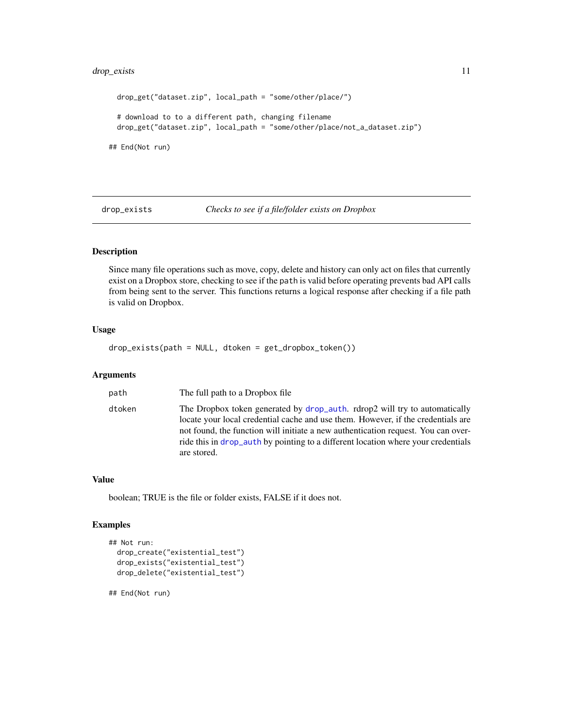#### <span id="page-10-0"></span>drop\_exists 11

```
drop_get("dataset.zip", local_path = "some/other/place/")
 # download to to a different path, changing filename
 drop_get("dataset.zip", local_path = "some/other/place/not_a_dataset.zip")
## End(Not run)
```
drop\_exists *Checks to see if a file/folder exists on Dropbox*

#### Description

Since many file operations such as move, copy, delete and history can only act on files that currently exist on a Dropbox store, checking to see if the path is valid before operating prevents bad API calls from being sent to the server. This functions returns a logical response after checking if a file path is valid on Dropbox.

#### Usage

drop\_exists(path = NULL, dtoken = get\_dropbox\_token())

#### Arguments

| path   | The full path to a Dropbox file.                                                                                                                                                                                                                                                                                                                        |
|--------|---------------------------------------------------------------------------------------------------------------------------------------------------------------------------------------------------------------------------------------------------------------------------------------------------------------------------------------------------------|
| dtoken | The Dropbox token generated by drop_auth. rdrop2 will try to automatically<br>locate your local credential cache and use them. However, if the credentials are<br>not found, the function will initiate a new authentication request. You can over-<br>ride this in drop_auth by pointing to a different location where your credentials<br>are stored. |

#### Value

boolean; TRUE is the file or folder exists, FALSE if it does not.

#### Examples

```
## Not run:
 drop_create("existential_test")
 drop_exists("existential_test")
 drop_delete("existential_test")
```
## End(Not run)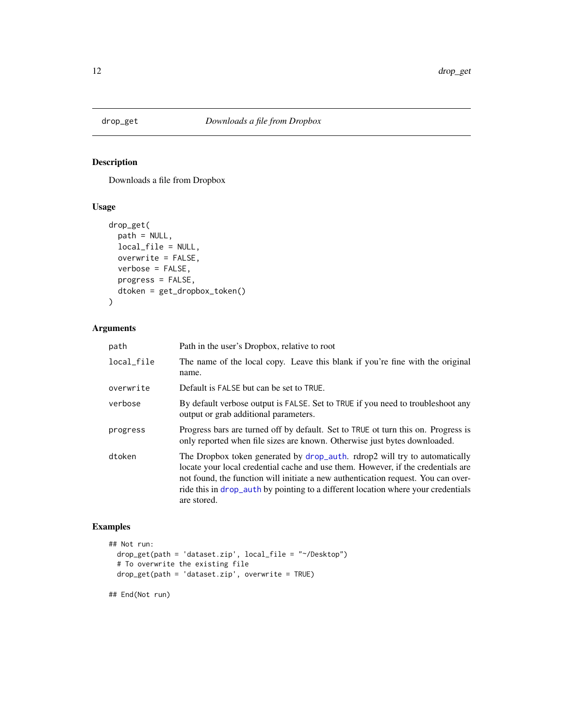<span id="page-11-0"></span>

#### Description

Downloads a file from Dropbox

#### Usage

```
drop_get(
 path = NULL,
 local_file = NULL,
 overwrite = FALSE,
 verbose = FALSE,
 progress = FALSE,
 dtoken = get_dropbox_token()
)
```
#### Arguments

| path       | Path in the user's Dropbox, relative to root                                                                                                                                                                                                                                                                                                            |
|------------|---------------------------------------------------------------------------------------------------------------------------------------------------------------------------------------------------------------------------------------------------------------------------------------------------------------------------------------------------------|
| local_file | The name of the local copy. Leave this blank if you're fine with the original<br>name.                                                                                                                                                                                                                                                                  |
| overwrite  | Default is FALSE but can be set to TRUE.                                                                                                                                                                                                                                                                                                                |
| verbose    | By default verbose output is FALSE. Set to TRUE if you need to troubleshoot any<br>output or grab additional parameters.                                                                                                                                                                                                                                |
| progress   | Progress bars are turned off by default. Set to TRUE ot turn this on. Progress is<br>only reported when file sizes are known. Otherwise just bytes downloaded.                                                                                                                                                                                          |
| dtoken     | The Dropbox token generated by drop_auth. rdrop2 will try to automatically<br>locate your local credential cache and use them. However, if the credentials are<br>not found, the function will initiate a new authentication request. You can over-<br>ride this in drop_auth by pointing to a different location where your credentials<br>are stored. |

#### Examples

```
## Not run:
  drop_get(path = 'dataset.zip', local_file = "~/Desktop")
  # To overwrite the existing file
  drop_get(path = 'dataset.zip', overwrite = TRUE)
```
## End(Not run)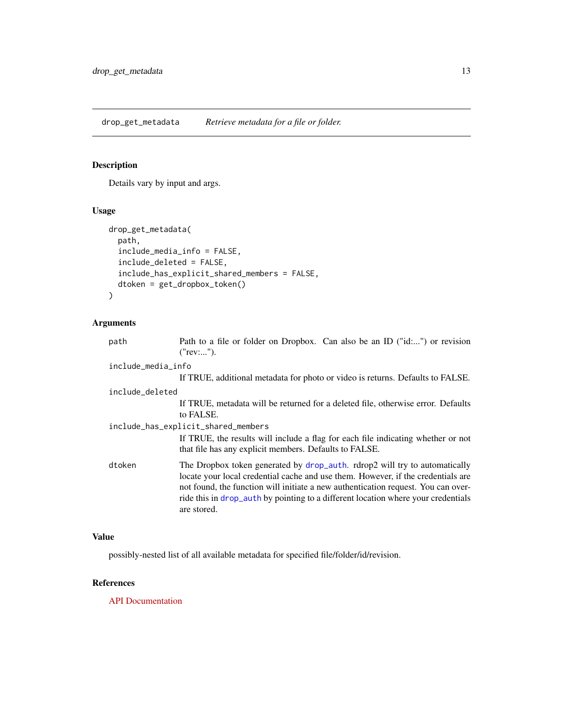<span id="page-12-0"></span>drop\_get\_metadata *Retrieve metadata for a file or folder.*

#### Description

Details vary by input and args.

#### Usage

```
drop_get_metadata(
 path,
  include_media_info = FALSE,
  include_deleted = FALSE,
  include_has_explicit_shared_members = FALSE,
  dtoken = get_dropbox_token()
)
```
#### Arguments

| path               | Path to a file or folder on Dropbox. Can also be an ID ("id:") or revision<br>("rev:").                                                                                                                                                                                                                                                                 |
|--------------------|---------------------------------------------------------------------------------------------------------------------------------------------------------------------------------------------------------------------------------------------------------------------------------------------------------------------------------------------------------|
| include_media_info |                                                                                                                                                                                                                                                                                                                                                         |
|                    | If TRUE, additional metadata for photo or video is returns. Defaults to FALSE.                                                                                                                                                                                                                                                                          |
| include_deleted    |                                                                                                                                                                                                                                                                                                                                                         |
|                    | If TRUE, metadata will be returned for a deleted file, otherwise error. Defaults<br>to FALSE.                                                                                                                                                                                                                                                           |
|                    | include_has_explicit_shared_members                                                                                                                                                                                                                                                                                                                     |
|                    | If TRUE, the results will include a flag for each file indicating whether or not<br>that file has any explicit members. Defaults to FALSE.                                                                                                                                                                                                              |
| dtoken             | The Dropbox token generated by drop_auth. rdrop2 will try to automatically<br>locate your local credential cache and use them. However, if the credentials are<br>not found, the function will initiate a new authentication request. You can over-<br>ride this in drop_auth by pointing to a different location where your credentials<br>are stored. |

#### Value

possibly-nested list of all available metadata for specified file/folder/id/revision.

#### References

[API Documentation](https://www.dropbox.com/developers/documentation/http/documentation#files-get_metadata)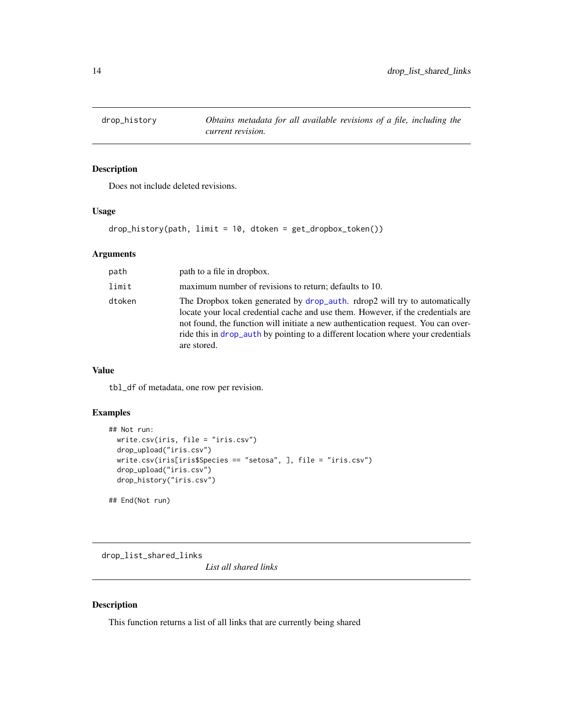<span id="page-13-0"></span>

#### Description

Does not include deleted revisions.

#### Usage

drop\_history(path, limit = 10, dtoken = get\_dropbox\_token())

#### Arguments

| path   | path to a file in dropbox.                                                                                                                                                                                                                                                                                                                              |
|--------|---------------------------------------------------------------------------------------------------------------------------------------------------------------------------------------------------------------------------------------------------------------------------------------------------------------------------------------------------------|
| limit  | maximum number of revisions to return; defaults to 10.                                                                                                                                                                                                                                                                                                  |
| dtoken | The Dropbox token generated by drop_auth. rdrop2 will try to automatically<br>locate your local credential cache and use them. However, if the credentials are<br>not found, the function will initiate a new authentication request. You can over-<br>ride this in drop_auth by pointing to a different location where your credentials<br>are stored. |

#### Value

tbl\_df of metadata, one row per revision.

#### Examples

```
## Not run:
 write.csv(iris, file = "iris.csv")
 drop_upload("iris.csv")
 write.csv(iris[iris$Species == "setosa", ], file = "iris.csv")
 drop_upload("iris.csv")
 drop_history("iris.csv")
```
## End(Not run)

drop\_list\_shared\_links

*List all shared links*

#### Description

This function returns a list of all links that are currently being shared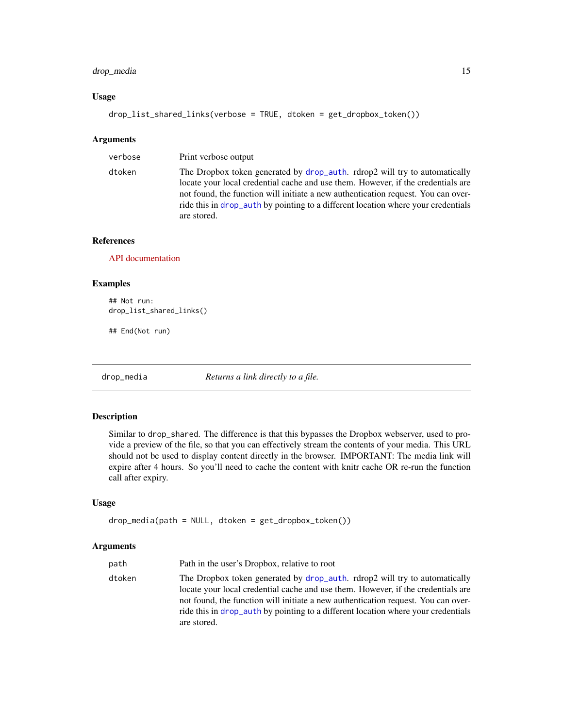#### <span id="page-14-0"></span>drop\_media 15

#### Usage

```
drop_list_shared_links(verbose = TRUE, dtoken = get_dropbox_token())
```
#### Arguments

| verbose | Print verbose output                                                                                                                                                                                                                                                                                                                                     |
|---------|----------------------------------------------------------------------------------------------------------------------------------------------------------------------------------------------------------------------------------------------------------------------------------------------------------------------------------------------------------|
| dtoken  | The Dropbox token generated by drop_auth. rdrop2 will try to automatically<br>locate your local credential cache and use them. However, if the credentials are<br>not found, the function will initiate a new authoritication request. You can over-<br>ride this in drop_auth by pointing to a different location where your credentials<br>are stored. |

#### References

[API documentation](https://www.dropbox.com/developers/documentation/http/documentation#sharing-list_shared_links)

#### Examples

```
## Not run:
drop_list_shared_links()
```
## End(Not run)

drop\_media *Returns a link directly to a file.*

#### Description

Similar to drop\_shared. The difference is that this bypasses the Dropbox webserver, used to provide a preview of the file, so that you can effectively stream the contents of your media. This URL should not be used to display content directly in the browser. IMPORTANT: The media link will expire after 4 hours. So you'll need to cache the content with knitr cache OR re-run the function call after expiry.

#### Usage

```
drop_media(path = NULL, dtoken = get_dropbox_token())
```

| path   | Path in the user's Dropbox, relative to root                                                                                                                                                                                                                                                                                                             |
|--------|----------------------------------------------------------------------------------------------------------------------------------------------------------------------------------------------------------------------------------------------------------------------------------------------------------------------------------------------------------|
| dtoken | The Dropbox token generated by drop_auth. rdrop2 will try to automatically<br>locate your local credential cache and use them. However, if the credentials are<br>not found, the function will initiate a new authoritication request. You can over-<br>ride this in drop_auth by pointing to a different location where your credentials<br>are stored. |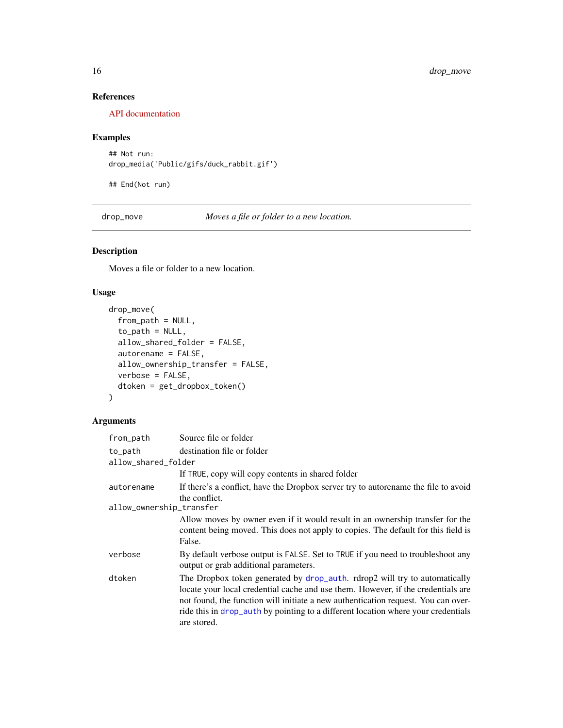#### <span id="page-15-0"></span>References

[API documentation](https://www.dropbox.com/developers/documentation/http/documentation#files-get_temporary_link)

#### Examples

```
## Not run:
drop_media('Public/gifs/duck_rabbit.gif')
```
## End(Not run)

drop\_move *Moves a file or folder to a new location.*

#### Description

Moves a file or folder to a new location.

#### Usage

```
drop_move(
  from_path = NULL,
  to-path = NULL,
  allow_shared_folder = FALSE,
  autorename = FALSE,
  allow_ownership_transfer = FALSE,
  verbose = FALSE,
  dtoken = get_dropbox_token()
)
```

| from_path                | Source file or folder                                                                                                                                                                                                                                                                                                                                   |
|--------------------------|---------------------------------------------------------------------------------------------------------------------------------------------------------------------------------------------------------------------------------------------------------------------------------------------------------------------------------------------------------|
| to_path                  | destination file or folder                                                                                                                                                                                                                                                                                                                              |
| allow_shared_folder      |                                                                                                                                                                                                                                                                                                                                                         |
|                          | If TRUE, copy will copy contents in shared folder                                                                                                                                                                                                                                                                                                       |
| autorename               | If there's a conflict, have the Dropbox server try to autorename the file to avoid<br>the conflict.                                                                                                                                                                                                                                                     |
| allow_ownership_transfer |                                                                                                                                                                                                                                                                                                                                                         |
|                          | Allow moves by owner even if it would result in an ownership transfer for the<br>content being moved. This does not apply to copies. The default for this field is<br>False.                                                                                                                                                                            |
| verbose                  | By default verbose output is FALSE. Set to TRUE if you need to troubleshoot any<br>output or grab additional parameters.                                                                                                                                                                                                                                |
| dtoken                   | The Dropbox token generated by drop_auth. rdrop2 will try to automatically<br>locate your local credential cache and use them. However, if the credentials are<br>not found, the function will initiate a new authentication request. You can over-<br>ride this in drop_auth by pointing to a different location where your credentials<br>are stored. |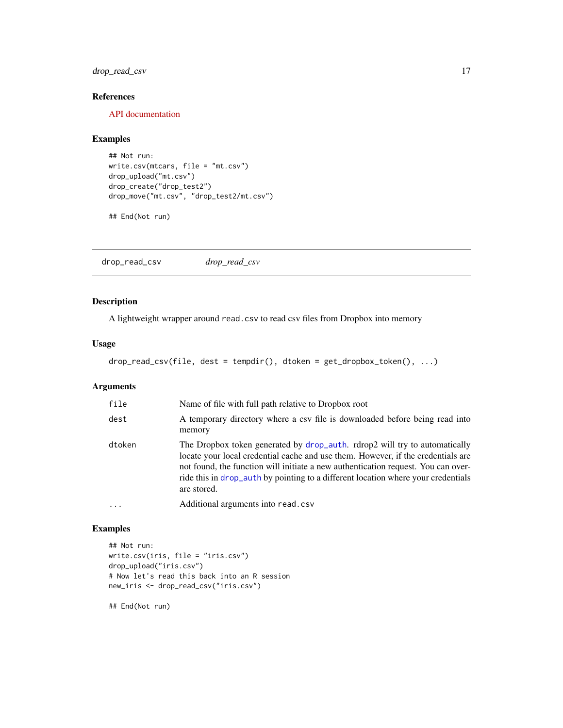#### <span id="page-16-0"></span>drop\_read\_csv 17

#### References

[API documentation](https://www.dropbox.com/developers/documentation/http/documentation#files-move_v2)

#### Examples

```
## Not run:
write.csv(mtcars, file = "mt.csv")
drop_upload("mt.csv")
drop_create("drop_test2")
drop_move("mt.csv", "drop_test2/mt.csv")
```
## End(Not run)

drop\_read\_csv *drop\_read\_csv*

#### Description

A lightweight wrapper around read.csv to read csv files from Dropbox into memory

#### Usage

```
drop_read_csv(file, dest = tempdir(), dtoken = get_dropbox_token(), ...)
```
#### Arguments

| file     | Name of file with full path relative to Dropbox root                                                                                                                                                                                                                                                                                                    |
|----------|---------------------------------------------------------------------------------------------------------------------------------------------------------------------------------------------------------------------------------------------------------------------------------------------------------------------------------------------------------|
| dest     | A temporary directory where a csv file is downloaded before being read into<br>memory                                                                                                                                                                                                                                                                   |
| dtoken   | The Dropbox token generated by drop_auth. rdrop2 will try to automatically<br>locate your local credential cache and use them. However, if the credentials are<br>not found, the function will initiate a new authentication request. You can over-<br>ride this in drop_auth by pointing to a different location where your credentials<br>are stored. |
| $\cdots$ | Additional arguments into read.csv                                                                                                                                                                                                                                                                                                                      |

#### Examples

```
## Not run:
write.csv(iris, file = "iris.csv")
drop_upload("iris.csv")
# Now let's read this back into an R session
new_iris <- drop_read_csv("iris.csv")
```
## End(Not run)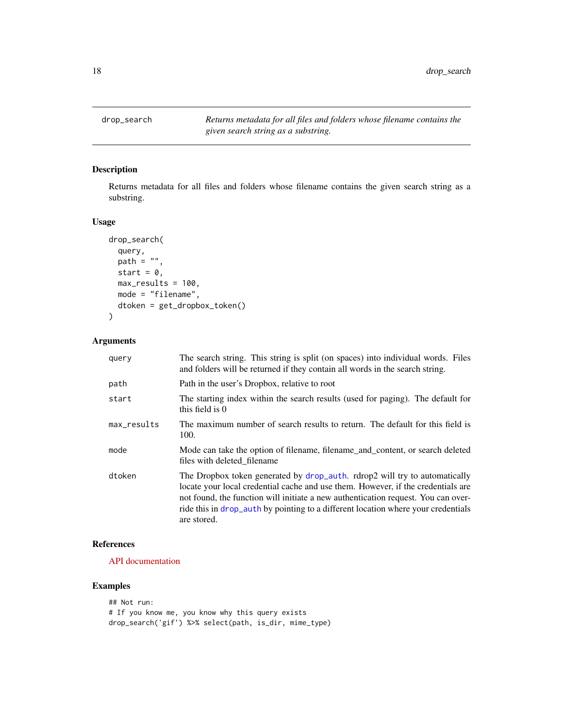<span id="page-17-0"></span>drop\_search *Returns metadata for all files and folders whose filename contains the given search string as a substring.*

#### Description

Returns metadata for all files and folders whose filename contains the given search string as a substring.

#### Usage

```
drop_search(
  query,
  path = ",
  start = 0,
 max_results = 100,
 mode = "filename",
  dtoken = get_dropbox_token()
)
```
#### Arguments

| query       | The search string. This string is split (on spaces) into individual words. Files<br>and folders will be returned if they contain all words in the search string.                                                                                                                                                                                        |
|-------------|---------------------------------------------------------------------------------------------------------------------------------------------------------------------------------------------------------------------------------------------------------------------------------------------------------------------------------------------------------|
| path        | Path in the user's Dropbox, relative to root                                                                                                                                                                                                                                                                                                            |
| start       | The starting index within the search results (used for paging). The default for<br>this field is 0                                                                                                                                                                                                                                                      |
| max_results | The maximum number of search results to return. The default for this field is<br>100.                                                                                                                                                                                                                                                                   |
| mode        | Mode can take the option of filename, filename_and_content, or search deleted<br>files with deleted filename                                                                                                                                                                                                                                            |
| dtoken      | The Dropbox token generated by drop_auth. rdrop2 will try to automatically<br>locate your local credential cache and use them. However, if the credentials are<br>not found, the function will initiate a new authentication request. You can over-<br>ride this in drop_auth by pointing to a different location where your credentials<br>are stored. |

#### References

[API documentation](https://www.dropbox.com/developers/documentation/http/documentation#files-search)

#### Examples

```
## Not run:
# If you know me, you know why this query exists
drop_search('gif') %>% select(path, is_dir, mime_type)
```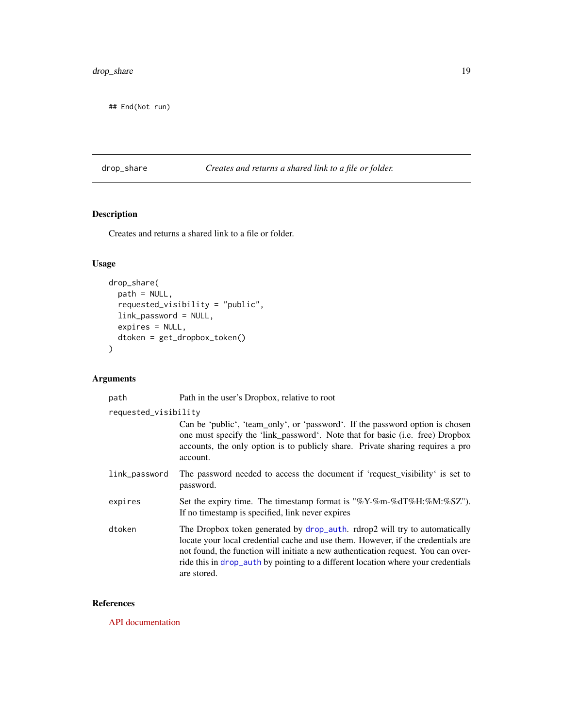<span id="page-18-0"></span>## End(Not run)

#### drop\_share *Creates and returns a shared link to a file or folder.*

#### Description

Creates and returns a shared link to a file or folder.

#### Usage

```
drop_share(
 path = NULL,
  requested_visibility = "public",
 link_password = NULL,
  expires = NULL,
 dtoken = get_dropbox_token()
\mathcal{L}
```
#### Arguments

| path                 | Path in the user's Dropbox, relative to root                                                                                                                                                                                                                                                                                                            |
|----------------------|---------------------------------------------------------------------------------------------------------------------------------------------------------------------------------------------------------------------------------------------------------------------------------------------------------------------------------------------------------|
| requested_visibility |                                                                                                                                                                                                                                                                                                                                                         |
|                      | Can be 'public', 'team_only', or 'password'. If the password option is chosen<br>one must specify the 'link_password'. Note that for basic (i.e. free) Dropbox<br>accounts, the only option is to publicly share. Private sharing requires a pro<br>account.                                                                                            |
| link_password        | The password needed to access the document if 'request_visibility' is set to<br>password.                                                                                                                                                                                                                                                               |
| expires              | Set the expiry time. The timestamp format is "%Y-%m-%dT%H:%M:%SZ").<br>If no timestamp is specified, link never expires                                                                                                                                                                                                                                 |
| dtoken               | The Dropbox token generated by drop_auth. rdrop2 will try to automatically<br>locate your local credential cache and use them. However, if the credentials are<br>not found, the function will initiate a new authentication request. You can over-<br>ride this in drop_auth by pointing to a different location where your credentials<br>are stored. |

#### References

[API documentation](https://www.dropbox.com/developers/documentation/http/documentation#sharing-create_shared_link_with_settings)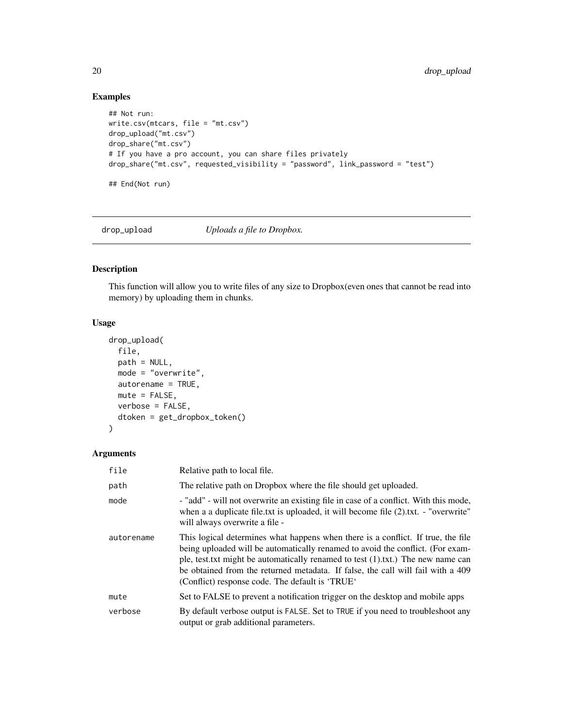#### Examples

```
## Not run:
write.csv(mtcars, file = "mt.csv")
drop_upload("mt.csv")
drop_share("mt.csv")
# If you have a pro account, you can share files privately
drop_share("mt.csv", requested_visibility = "password", link_password = "test")
## End(Not run)
```
drop\_upload *Uploads a file to Dropbox.*

#### Description

This function will allow you to write files of any size to Dropbox(even ones that cannot be read into memory) by uploading them in chunks.

#### Usage

```
drop_upload(
 file,
 path = NULL,
 mode = "overwrite",
 autorename = TRUE,
 mute = FALSE,
 verbose = FALSE,
  dtoken = get_dropbox_token()
)
```

| file       | Relative path to local file.                                                                                                                                                                                                                                                                                                                                                                   |
|------------|------------------------------------------------------------------------------------------------------------------------------------------------------------------------------------------------------------------------------------------------------------------------------------------------------------------------------------------------------------------------------------------------|
| path       | The relative path on Dropbox where the file should get uploaded.                                                                                                                                                                                                                                                                                                                               |
| mode       | - "add" - will not overwrite an existing file in case of a conflict. With this mode,<br>when a a duplicate file.txt is uploaded, it will become file (2).txt. - "overwrite"<br>will always overwrite a file -                                                                                                                                                                                  |
| autorename | This logical determines what happens when there is a conflict. If true, the file<br>being uploaded will be automatically renamed to avoid the conflict. (For exam-<br>ple, test.txt might be automatically renamed to test $(1)$ .txt.) The new name can<br>be obtained from the returned metadata. If false, the call will fail with a 409<br>(Conflict) response code. The default is 'TRUE' |
| mute       | Set to FALSE to prevent a notification trigger on the desktop and mobile apps                                                                                                                                                                                                                                                                                                                  |
| verbose    | By default verbose output is FALSE. Set to TRUE if you need to troubleshoot any<br>output or grab additional parameters.                                                                                                                                                                                                                                                                       |

<span id="page-19-0"></span>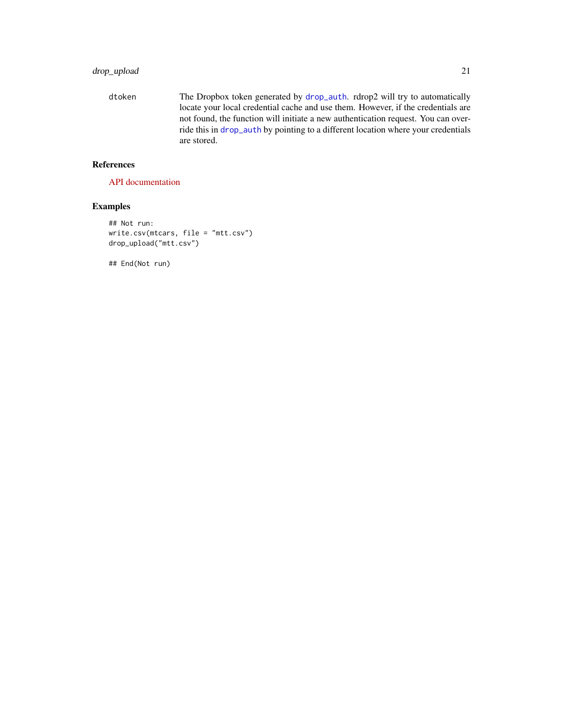#### <span id="page-20-0"></span>drop\_upload 21

dtoken The Dropbox token generated by [drop\\_auth](#page-2-1). rdrop2 will try to automatically locate your local credential cache and use them. However, if the credentials are not found, the function will initiate a new authentication request. You can override this in [drop\\_auth](#page-2-1) by pointing to a different location where your credentials are stored.

#### References

[API documentation](https://www.dropbox.com/developers/documentation/http/documentation#files-upload)

#### Examples

```
## Not run:
write.csv(mtcars, file = "mtt.csv")
drop_upload("mtt.csv")
```
## End(Not run)